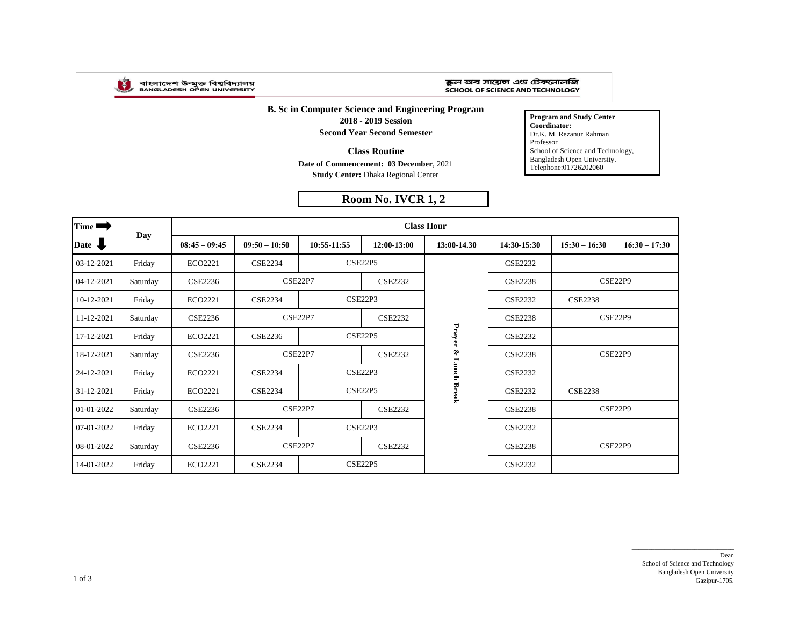

## ষ্কুল অব সায়েন্স এড টেকনোলজি SCHOOL OF SCIENCE AND TECHNOLOGY

**B. Sc in Computer Science and Engineering Program 2018 - 2019 Session Second Year Second Semester**

**Class Routine**

**Date of Commencement: 03 December**, 2021 **Study Center:** Dhaka Regional Center

## **Room No. IVCR 1, 2**

**Program and Study Center Coordinator:** Dr.K. M. Rezanur Rahman Professor School of Science and Technology, Bangladesh Open University. Telephone:01726202060

| Time ■                  | Day      | <b>Class Hour</b> |                 |                                  |                |              |                |                 |                 |  |  |
|-------------------------|----------|-------------------|-----------------|----------------------------------|----------------|--------------|----------------|-----------------|-----------------|--|--|
| Date $\bigtriangledown$ |          | $08:45 - 09:45$   | $09:50 - 10:50$ | 10:55-11:55                      | 12:00-13:00    | 13:00-14.30  | 14:30-15:30    | $15:30 - 16:30$ | $16:30 - 17:30$ |  |  |
| 03-12-2021              | Friday   | ECO2221           | <b>CSE2234</b>  | <b>CSE22P5</b>                   |                |              | <b>CSE2232</b> |                 |                 |  |  |
| 04-12-2021              | Saturday | <b>CSE2236</b>    | CSE22P7         |                                  | <b>CSE2232</b> |              | <b>CSE2238</b> |                 | CSE22P9         |  |  |
| 10-12-2021              | Friday   | ECO2221           | <b>CSE2234</b>  | CSE22P3                          |                |              | <b>CSE2232</b> | <b>CSE2238</b>  |                 |  |  |
| 11-12-2021              | Saturday | <b>CSE2236</b>    |                 | CSE22P7<br><b>CSE2232</b>        |                |              | <b>CSE2238</b> | CSE22P9         |                 |  |  |
| 17-12-2021              | Friday   | ECO2221           | <b>CSE2236</b>  | <b>CSE22P5</b>                   |                | Prayer       | <b>CSE2232</b> |                 |                 |  |  |
| 18-12-2021              | Saturday | <b>CSE2236</b>    |                 | CSE22P7<br><b>CSE2232</b>        |                | Ś,           | <b>CSE2238</b> | CSE22P9         |                 |  |  |
| 24-12-2021              | Friday   | ECO2221           | <b>CSE2234</b>  | CSE22P3                          |                | լաոշի        | <b>CSE2232</b> |                 |                 |  |  |
| 31-12-2021              | Friday   | ECO2221           | <b>CSE2234</b>  | <b>CSE22P5</b>                   |                | <b>Break</b> | <b>CSE2232</b> | <b>CSE2238</b>  |                 |  |  |
| 01-01-2022              | Saturday | <b>CSE2236</b>    |                 | CSE22P7<br><b>CSE2232</b>        |                |              | <b>CSE2238</b> |                 | CSE22P9         |  |  |
| 07-01-2022              | Friday   | ECO2221           | <b>CSE2234</b>  | CSE22P3                          |                |              | <b>CSE2232</b> |                 |                 |  |  |
| 08-01-2022              | Saturday | <b>CSE2236</b>    |                 | <b>CSE22P7</b><br><b>CSE2232</b> |                |              | <b>CSE2238</b> |                 | CSE22P9         |  |  |
| 14-01-2022              | Friday   | ECO2221           | <b>CSE2234</b>  | <b>CSE22P5</b>                   |                |              | <b>CSE2232</b> |                 |                 |  |  |

\_\_\_\_\_\_\_\_\_\_\_\_\_\_\_\_\_\_\_\_\_\_\_\_\_\_\_\_\_\_\_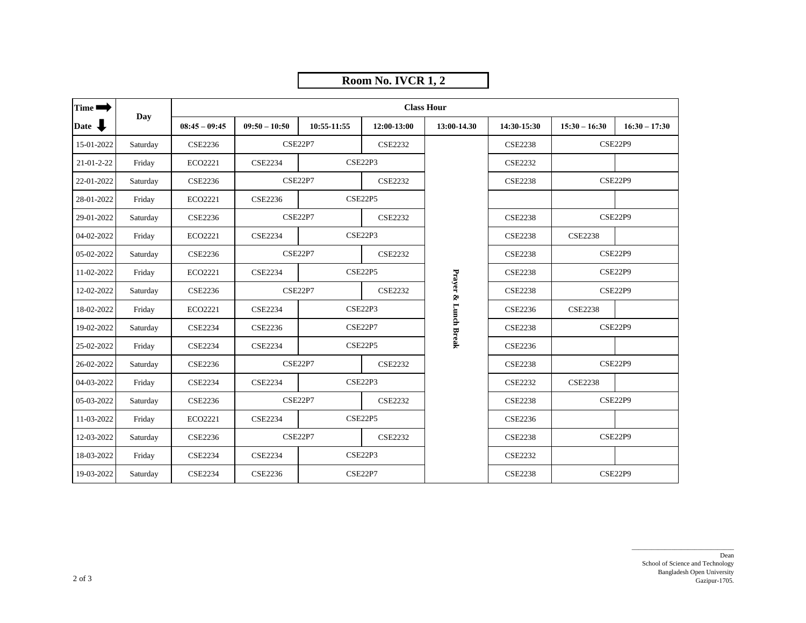|                    |          |                   |                 |                                  | Room No. IVCR 1, 2 |                      |                |                                             |                 |  |  |
|--------------------|----------|-------------------|-----------------|----------------------------------|--------------------|----------------------|----------------|---------------------------------------------|-----------------|--|--|
| Time $\rightarrow$ |          | <b>Class Hour</b> |                 |                                  |                    |                      |                |                                             |                 |  |  |
| Date J             | Day      | $08:45 - 09:45$   | $09:50 - 10:50$ | 10:55-11:55                      | 12:00-13:00        | 13:00-14.30          | 14:30-15:30    | $15:30 - 16:30$                             | $16:30 - 17:30$ |  |  |
| 15-01-2022         | Saturday | <b>CSE2236</b>    |                 | <b>CSE22P7</b>                   | <b>CSE2232</b>     |                      | <b>CSE2238</b> | CSE22P9                                     |                 |  |  |
| $21-01-2-22$       | Friday   | ECO2221           | <b>CSE2234</b>  |                                  | CSE22P3            |                      | <b>CSE2232</b> |                                             |                 |  |  |
| 22-01-2022         | Saturday | <b>CSE2236</b>    |                 | CSE22P7<br><b>CSE2232</b>        |                    |                      | <b>CSE2238</b> | CSE22P9                                     |                 |  |  |
| 28-01-2022         | Friday   | ECO2221           | <b>CSE2236</b>  | <b>CSE22P5</b>                   |                    |                      |                |                                             |                 |  |  |
| 29-01-2022         | Saturday | <b>CSE2236</b>    |                 | <b>CSE22P7</b>                   | <b>CSE2232</b>     |                      | <b>CSE2238</b> | CSE22P9                                     |                 |  |  |
| 04-02-2022         | Friday   | ECO2221           | <b>CSE2234</b>  |                                  | <b>CSE22P3</b>     |                      | <b>CSE2238</b> | <b>CSE2238</b>                              |                 |  |  |
| 05-02-2022         | Saturday | <b>CSE2236</b>    |                 | <b>CSE22P7</b><br><b>CSE2232</b> |                    |                      | <b>CSE2238</b> | CSE22P9<br><b>CSE2238</b><br><b>CSE22P9</b> |                 |  |  |
| 11-02-2022         | Friday   | ECO2221           | <b>CSE2234</b>  | <b>CSE22P5</b>                   |                    |                      |                |                                             |                 |  |  |
| 12-02-2022         | Saturday | <b>CSE2236</b>    |                 | <b>CSE22P7</b><br><b>CSE2232</b> |                    | Prayer & Lunch Break | <b>CSE2238</b> | CSE22P9                                     |                 |  |  |
| 18-02-2022         | Friday   | ECO2221           | <b>CSE2234</b>  | CSE22P3                          |                    |                      | <b>CSE2236</b> | <b>CSE2238</b>                              |                 |  |  |
| 19-02-2022         | Saturday | <b>CSE2234</b>    | <b>CSE2236</b>  | <b>CSE22P7</b>                   |                    |                      | <b>CSE2238</b> | <b>CSE22P9</b>                              |                 |  |  |
| 25-02-2022         | Friday   | <b>CSE2234</b>    | <b>CSE2234</b>  | <b>CSE22P5</b>                   |                    |                      | <b>CSE2236</b> |                                             |                 |  |  |
| 26-02-2022         | Saturday | <b>CSE2236</b>    |                 | <b>CSE22P7</b><br><b>CSE2232</b> |                    |                      | <b>CSE2238</b> |                                             | <b>CSE22P9</b>  |  |  |
| 04-03-2022         | Friday   | <b>CSE2234</b>    | <b>CSE2234</b>  |                                  | CSE22P3            |                      | <b>CSE2232</b> | <b>CSE2238</b>                              |                 |  |  |
| 05-03-2022         | Saturday | <b>CSE2236</b>    |                 | <b>CSE22P7</b>                   | <b>CSE2232</b>     |                      | <b>CSE2238</b> |                                             | <b>CSE22P9</b>  |  |  |
| 11-03-2022         | Friday   | ECO2221           | <b>CSE2234</b>  |                                  | <b>CSE22P5</b>     |                      | <b>CSE2236</b> |                                             |                 |  |  |
| 12-03-2022         | Saturday | <b>CSE2236</b>    |                 | <b>CSE22P7</b><br><b>CSE2232</b> |                    |                      | <b>CSE2238</b> |                                             | CSE22P9         |  |  |
| 18-03-2022         | Friday   | <b>CSE2234</b>    | <b>CSE2234</b>  | CSE22P3                          |                    |                      | <b>CSE2232</b> |                                             |                 |  |  |
| 19-03-2022         | Saturday | <b>CSE2234</b>    | <b>CSE2236</b>  | <b>CSE22P7</b>                   |                    |                      | <b>CSE2238</b> |                                             | CSE22P9         |  |  |

## Dean School of Science and Technology Bangladesh Open University Gazipur-1705.

\_\_\_\_\_\_\_\_\_\_\_\_\_\_\_\_\_\_\_\_\_\_\_\_\_\_\_\_\_\_\_